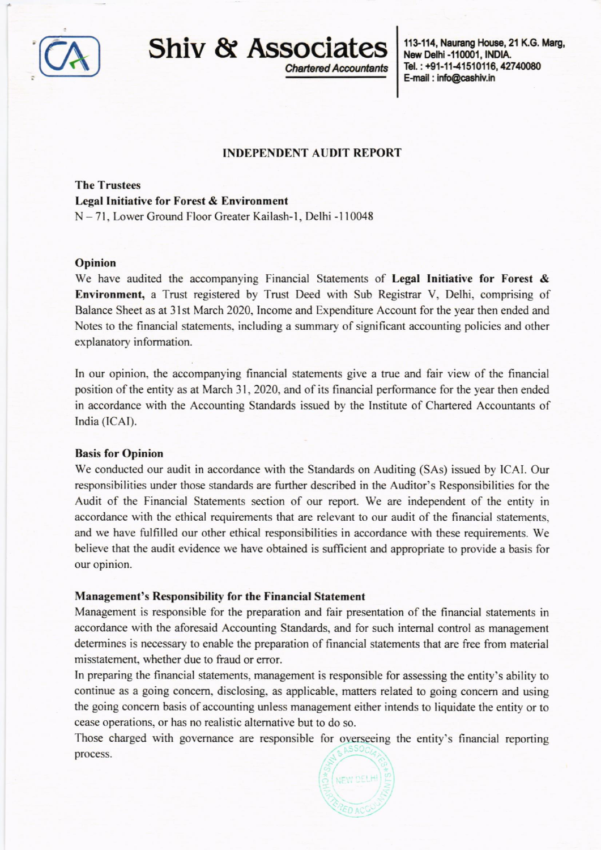

Shiv & Associates

**Chartered Accountants** 

113-114, Naurang House, 21 K.G. Marg, New Delhi -110001, INDIA. Tel.: +91-11-41510116, 42740080 E-mail: info@cashiv.in

## **INDEPENDENT AUDIT REPORT**

The Trustees Legal Initiative for Forest & Environment N - 71, Lower Ground Floor Greater Kailash-1, Delhi - l 10048

#### Opinion

We have audited the accompanying Financial Statements of Legal Initiative for Forest & Environment, a Trust registered by Trust Deed with Sub Registar V, Delhi, comprising of Balance Sheet as at 3lst March 2020. Income and Expenditure Account for the year then ended and Notes to the financial statements. including a summary of significant accounting policies and other explanatory information.

In our opinion, the accompanying financial statements give a true and fair view of the financial position of the entity as at March 31,2020, and of its financial performance for the year then ended in accordance with the Accounting Standards issued by the Instirute of Chartered Accountants of India (ICAI).

### Basis for Opinion

We conducted our audit in accordance with the Standards on Auditing (SAs) issued by ICAI. Our responsibilities under those standards are further described in the Auditor's Responsibilities for the Audit of the Financial Statements section of our report. We are independent of the entity in accordance with the ethical requirements that are relevant to our audit of the financial statements. and we have fulfilled our other ethical responsibilities in accordance with these requirements. We believe that the audit evidence we have obtained is sufticient and appropriate to provide a basis for our opinion.

### Management's Responsibility for the Financial Statement

Management is responsible for the preparation and fair presentation of the financial statements in accordance with the aforesaid Accounting Standards, and for such intemal control as management determines is necessary to enable the preparation of financial statements that are free from material misstatement, whether due to fraud or error.

In preparing the financial statements, management is responsible for assessing the entity's ability to continue as a going concem, disclosing, as applicable, matters related to going concem and using the going concern basis of accounting unless management either intends to liquidate the entity or to cease operations, or has no realistic altemative but to do so.

Those charged with governance are responsible for overseeing the entity's financial reponing process.

NEW DELHI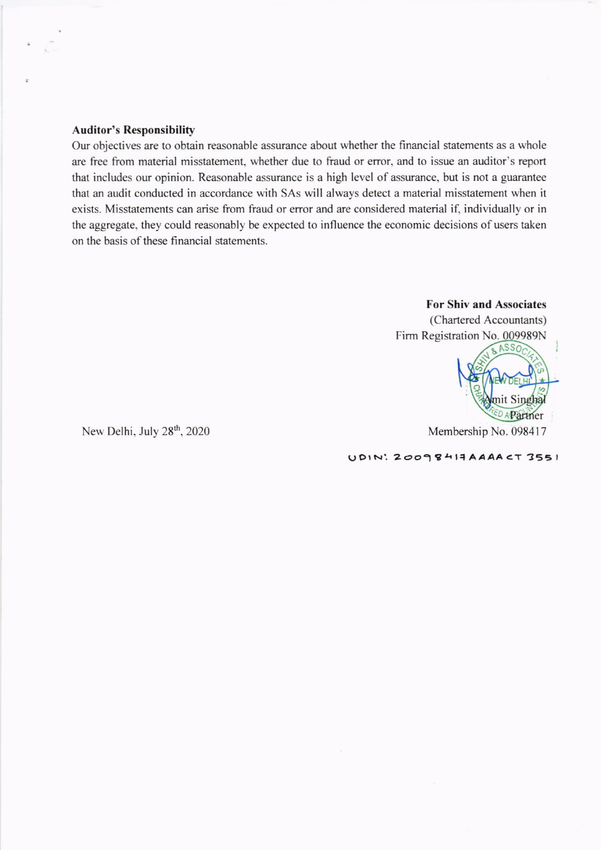## Auditor's Responsibility

Our objectives are to obtain reasonable assurance about whether the financial statements as a whole are free from material misstatement, whether due to fraud or error. and to issue an auditor's report that includes our opinion. Reasonable assurance is a high level of assurance. but is not a guarantee that an audit conducted in accordance with SAs will always detect a material misstatement when it exists. Misstatements can arise fiom fraud or error and are considered material if, individually or in the aggregate, they could reasonably be expected to influence the economic decisions of users taken on the basis of these financial statements.

# For Shiv and Associates

(Chartered Accountants) Firm Registration No. 009989N



U DIN: 20098414 AAAA CT 3551